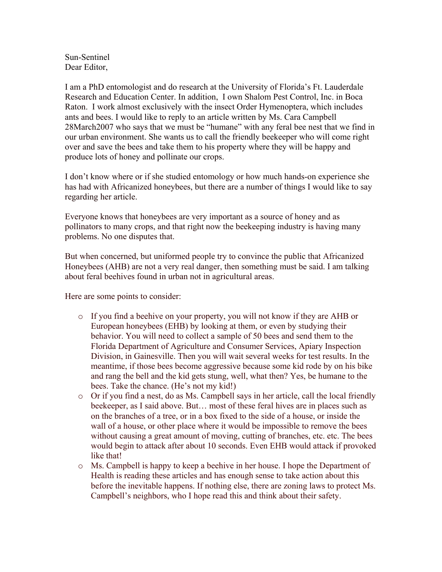Sun-Sentinel Dear Editor,

I am a PhD entomologist and do research at the University of Florida's Ft. Lauderdale Research and Education Center. In addition, I own Shalom Pest Control, Inc. in Boca Raton. I work almost exclusively with the insect Order Hymenoptera, which includes ants and bees. I would like to reply to an article written by Ms. Cara Campbell 28March2007 who says that we must be "humane" with any feral bee nest that we find in our urban environment. She wants us to call the friendly beekeeper who will come right over and save the bees and take them to his property where they will be happy and produce lots of honey and pollinate our crops.

I don't know where or if she studied entomology or how much hands-on experience she has had with Africanized honeybees, but there are a number of things I would like to say regarding her article.

Everyone knows that honeybees are very important as a source of honey and as pollinators to many crops, and that right now the beekeeping industry is having many problems. No one disputes that.

But when concerned, but uniformed people try to convince the public that Africanized Honeybees (AHB) are not a very real danger, then something must be said. I am talking about feral beehives found in urban not in agricultural areas.

Here are some points to consider:

- o If you find a beehive on your property, you will not know if they are AHB or European honeybees (EHB) by looking at them, or even by studying their behavior. You will need to collect a sample of 50 bees and send them to the Florida Department of Agriculture and Consumer Services, Apiary Inspection Division, in Gainesville. Then you will wait several weeks for test results. In the meantime, if those bees become aggressive because some kid rode by on his bike and rang the bell and the kid gets stung, well, what then? Yes, be humane to the bees. Take the chance. (He's not my kid!)
- o Or if you find a nest, do as Ms. Campbell says in her article, call the local friendly beekeeper, as I said above. But… most of these feral hives are in places such as on the branches of a tree, or in a box fixed to the side of a house, or inside the wall of a house, or other place where it would be impossible to remove the bees without causing a great amount of moving, cutting of branches, etc. etc. The bees would begin to attack after about 10 seconds. Even EHB would attack if provoked like that!
- o Ms. Campbell is happy to keep a beehive in her house. I hope the Department of Health is reading these articles and has enough sense to take action about this before the inevitable happens. If nothing else, there are zoning laws to protect Ms. Campbell's neighbors, who I hope read this and think about their safety.